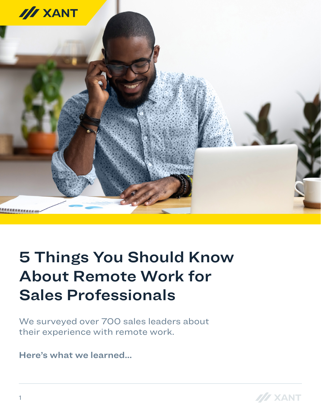

# 5 Things You Should Know About Remote Work for Sales Professionals

We surveyed over 700 sales leaders about their experience with remote work.

Here's what we learned...

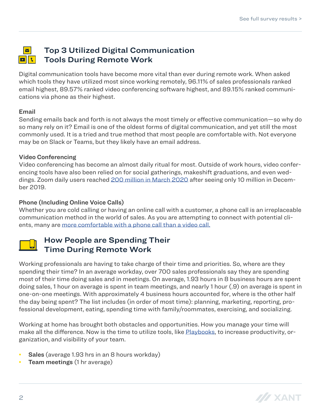#### $\overline{\mathbf{N}}$ Top 3 Utilized Digital Communication  $||\mathbf{r}||$ Tools During Remote Work

Digital communication tools have become more vital than ever during remote work. When asked which tools they have utilized most since working remotely, 96.11% of sales professionals ranked email highest, 89.57% ranked video conferencing software highest, and 89.15% ranked communications via phone as their highest.

#### Email

Sending emails back and forth is not always the most timely or effective communication—so why do so many rely on it? Email is one of the oldest forms of digital communication, and yet still the most commonly used. It is a tried and true method that most people are comfortable with. Not everyone may be on Slack or Teams, but they likely have an email address.

#### Video Conferencing

Video conferencing has become an almost daily ritual for most. Outside of work hours, video conferencing tools have also been relied on for social gatherings, makeshift graduations, and even weddings. Zoom daily users reached [200 million in March 2020](https://www.cnbc.com/2020/04/03/how-zoom-rose-to-the-top-during-the-coronavirus-pandemic.html) after seeing only 10 million in December 2019.

### Phone (Including Online Voice Calls)

Whether you are cold calling or having an online call with a customer, a phone call is an irreplaceable communication method in the world of sales. As you are attempting to connect with potential clients, many are [more comfortable with a phone call than a video call.](https://www.forbes.com/sites/enriquedans/2020/04/25/no-please-not-another-videocall/#24bdb6c265dd)



## How People are Spending Their Time During Remote Work

Working professionals are having to take charge of their time and priorities. So, where are they spending their time? In an average workday, over 700 sales professionals say they are spending most of their time doing sales and in meetings. On average, 1.93 hours in 8 business hours are spent doing sales, 1 hour on average is spent in team meetings, and nearly 1 hour (.9) on average is spent in one-on-one meetings. With approximately 4 business hours accounted for, where is the other half the day being spent? The list includes (in order of most time): planning, marketing, reporting, professional development, eating, spending time with family/roommates, exercising, and socializing.

Working at home has brought both obstacles and opportunities. How you manage your time will make all the difference. Now is the time to utilize tools, like [Playbooks,](https://www2.xant.ai/playbooks/) to increase productivity, organization, and visibility of your team.

- Sales (average 1.93 hrs in an 8 hours workday)
- Team meetings (1 hr average)

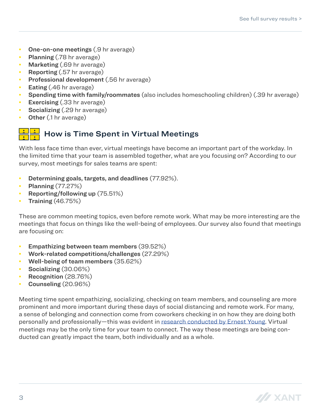- One-on-one meetings (.9 hr average)
- Planning (.78 hr average)
- Marketing (.69 hr average)
- Reporting (.57 hr average)
- Professional development (.56 hr average)
- Eating (.46 hr average)
- Spending time with family/roommates (also includes homeschooling children) (.39 hr average)
- **Exercising** (.33 hr average)
- Socializing (.29 hr average)
- **Other** (.1 hr average)

# How is Time Spent in Virtual Meetings

With less face time than ever, virtual meetings have become an important part of the workday. In the limited time that your team is assembled together, what are you focusing on? According to our survey, most meetings for sales teams are spent:

- Determining goals, targets, and deadlines (77.92%).
- **Planning** (77.27%)
- Reporting/following up (75.51%)
- Training (46.75%)

These are common meeting topics, even before remote work. What may be more interesting are the meetings that focus on things like the well-being of employees. Our survey also found that meetings are focusing on:

- Empathizing between team members (39.52%)
- Work-related competitions/challenges (27.29%)
- Well-being of team members (35.62%)
- **Socializing (30.06%)**
- Recognition (28.76%)
- Counseling (20.96%)

Meeting time spent empathizing, socializing, checking on team members, and counseling are more prominent and more important during these days of social distancing and remote work. For many, a sense of belonging and connection come from coworkers checking in on how they are doing both personally and professionally—this was evident in [research conducted by Ernest Young](https://www.ey.com/en_us/diversity-inclusiveness/ey-belonging-barometer-workplace-study). Virtual meetings may be the only time for your team to connect. The way these meetings are being conducted can greatly impact the team, both individually and as a whole.